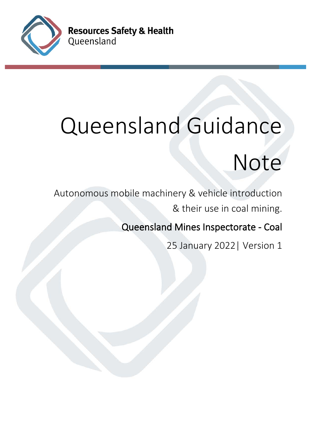

# Queensland Guidance

# Note

Autonomous mobile machinery & vehicle introduction & their use in coal mining.

Queensland Mines Inspectorate - Coal

25 January 2022| Version 1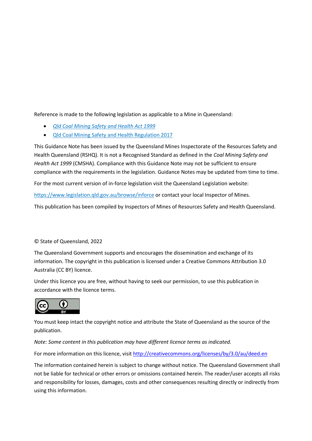Reference is made to the following legislation as applicable to a Mine in Queensland:

- *[Qld Coal Mining Safety and Health Act 1999](https://www.legislation.qld.gov.au/view/html/inforce/2020-07-01/act-1999-039)*
- [Qld Coal Mining Safety and Health Regulation 2017](https://www.legislation.qld.gov.au/view/html/inforce/2021-01-01/sl-2017-0165)

This Guidance Note has been issued by the Queensland Mines Inspectorate of the Resources Safety and Health Queensland (RSHQ). It is not a Recognised Standard as defined in the *Coal Mining Safety and Health Act 1999* (CMSHA). Compliance with this Guidance Note may not be sufficient to ensure compliance with the requirements in the legislation. Guidance Notes may be updated from time to time.

For the most current version of in-force legislation visit the Queensland Legislation website:

<https://www.legislation.qld.gov.au/browse/inforce> or contact your local Inspector of Mines.

This publication has been compiled by Inspectors of Mines of Resources Safety and Health Queensland.

#### © State of Queensland, 2022

The Queensland Government supports and encourages the dissemination and exchange of its information. The copyright in this publication is licensed under a Creative Commons Attribution 3.0 Australia (CC BY) licence.

Under this licence you are free, without having to seek our permission, to use this publication in accordance with the licence terms.



You must keep intact the copyright notice and attribute the State of Queensland as the source of the publication.

*Note: Some content in this publication may have different licence terms as indicated.*

For more information on this licence, visit<http://creativecommons.org/licenses/by/3.0/au/deed.en>

The information contained herein is subject to change without notice. The Queensland Government shall not be liable for technical or other errors or omissions contained herein. The reader/user accepts all risks and responsibility for losses, damages, costs and other consequences resulting directly or indirectly from using this information.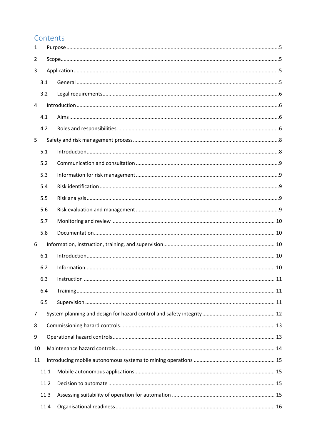# Contents

| $\mathbf{1}$   |      |             |    |  |
|----------------|------|-------------|----|--|
| 2              |      |             |    |  |
| 3              |      |             |    |  |
|                | 3.1  |             |    |  |
|                | 3.2  |             |    |  |
| 4              |      |             |    |  |
|                | 4.1  |             |    |  |
|                | 4.2  |             |    |  |
| 5              |      |             |    |  |
|                | 5.1  |             |    |  |
|                | 5.2  |             |    |  |
|                | 5.3  |             |    |  |
|                | 5.4  |             |    |  |
|                | 5.5  |             |    |  |
|                | 5.6  |             |    |  |
|                | 5.7  |             |    |  |
|                | 5.8  |             |    |  |
| 6              |      |             |    |  |
|                | 6.1  |             |    |  |
|                | 6.2  |             |    |  |
|                | 6.3  | Instruction | 11 |  |
|                | 6.4  |             |    |  |
|                | 6.5  |             |    |  |
| $\overline{7}$ |      |             |    |  |
| 8              |      |             |    |  |
| 9              |      |             |    |  |
| 10             |      |             |    |  |
| 11             |      |             |    |  |
|                | 11.1 |             |    |  |
|                | 11.2 |             |    |  |
|                | 11.3 |             |    |  |
|                | 11.4 |             |    |  |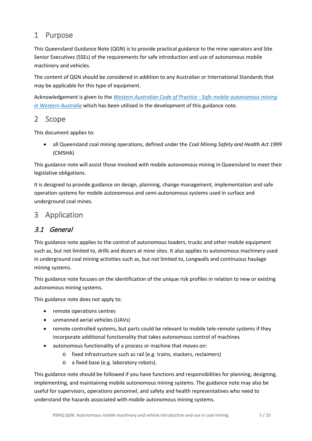# <span id="page-4-0"></span>1 Purpose

This Queensland Guidance Note (QGN) is to provide practical guidance to the mine operators and Site Senior Executives (SSEs) of the requirements for safe introduction and use of autonomous mobile machinery and vehicles.

The content of QGN should be considered in addition to any Australian or International Standards that may be applicable for this type of equipment.

Acknowledgement is given to the *[Western Australian Code of Practice -](https://www.dmp.wa.gov.au/Documents/Safety/MSH_COP_SafeMobileAutonomousMiningWA.pdf) Safe mobile autonomous mining [in Western Australia](https://www.dmp.wa.gov.au/Documents/Safety/MSH_COP_SafeMobileAutonomousMiningWA.pdf)* which has been utilised in the development of this guidance note.

#### <span id="page-4-1"></span>2 Scope

This document applies to:

• all Queensland coal mining operations, defined under the *Coal Mining Safety and Health Act 1999* (CMSHA)

This guidance note will assist those involved with mobile autonomous mining in Queensland to meet their legislative obligations.

It is designed to provide guidance on design, planning, change management, implementation and safe operation systems for mobile autonomous and semi-autonomous systems used in surface and underground coal mines.

# <span id="page-4-2"></span>3 Application

## <span id="page-4-3"></span>3.1 General

This guidance note applies to the control of autonomous loaders, trucks and other mobile equipment such as, but not limited to, drills and dozers at mine sites. It also applies to autonomous machinery used in underground coal mining activities such as, but not limited to, Longwalls and continuous haulage mining systems.

This guidance note focuses on the identification of the unique risk profiles in relation to new or existing autonomous mining systems.

This guidance note does not apply to:

- remote operations centres
- unmanned aerial vehicles (UAVs)
- remote controlled systems, but parts could be relevant to mobile tele-remote systems if they incorporate additional functionality that takes autonomous control of machines
- autonomous functionality of a process or machine that moves on:
	- o fixed infrastructure such as rail (e.g. trains, stackers, reclaimers)
	- o a fixed base (e.g. laboratory robots).

This guidance note should be followed if you have functions and responsibilities for planning, designing, implementing, and maintaining mobile autonomous mining systems. The guidance note may also be useful for supervisors, operations personnel, and safety and health representatives who need to understand the hazards associated with mobile autonomous mining systems.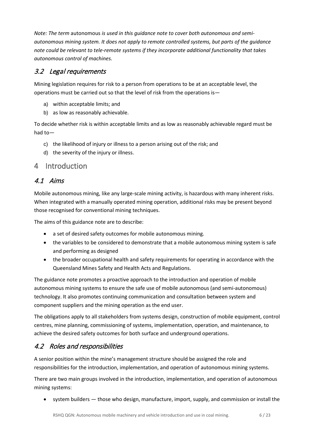*Note: The term* autonomous *is used in this guidance note to cover both autonomous and semiautonomous mining system. It does not apply to remote controlled systems, but parts of the guidance note could be relevant to tele-remote systems if they incorporate additional functionality that takes autonomous control of machines.*

## <span id="page-5-0"></span>3.2 Legal requirements

Mining legislation requires for risk to a person from operations to be at an acceptable level, the operations must be carried out so that the level of risk from the operations is—

- a) within acceptable limits; and
- b) as low as reasonably achievable.

To decide whether risk is within acceptable limits and as low as reasonably achievable regard must be had to—

- c) the likelihood of injury or illness to a person arising out of the risk; and
- d) the severity of the injury or illness.

## <span id="page-5-1"></span>4 Introduction

#### <span id="page-5-2"></span>4.1 Aims

Mobile autonomous mining, like any large-scale mining activity, is hazardous with many inherent risks. When integrated with a manually operated mining operation, additional risks may be present beyond those recognised for conventional mining techniques.

The aims of this guidance note are to describe:

- a set of desired safety outcomes for mobile autonomous mining.
- the variables to be considered to demonstrate that a mobile autonomous mining system is safe and performing as designed
- the broader occupational health and safety requirements for operating in accordance with the Queensland Mines Safety and Health Acts and Regulations.

The guidance note promotes a proactive approach to the introduction and operation of mobile autonomous mining systems to ensure the safe use of mobile autonomous (and semi-autonomous) technology. It also promotes continuing communication and consultation between system and component suppliers and the mining operation as the end user.

The obligations apply to all stakeholders from systems design, construction of mobile equipment, control centres, mine planning, commissioning of systems, implementation, operation, and maintenance, to achieve the desired safety outcomes for both surface and underground operations.

## <span id="page-5-3"></span>4.2 Roles and responsibilities

A senior position within the mine's management structure should be assigned the role and responsibilities for the introduction, implementation, and operation of autonomous mining systems.

There are two main groups involved in the introduction, implementation, and operation of autonomous mining systems:

• system builders — those who design, manufacture, import, supply, and commission or install the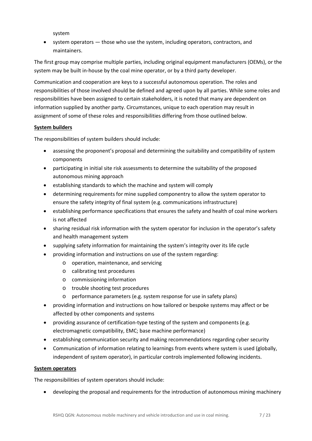system

• system operators — those who use the system, including operators, contractors, and maintainers.

The first group may comprise multiple parties, including original equipment manufacturers (OEMs), or the system may be built in-house by the coal mine operator, or by a third party developer.

Communication and cooperation are keys to a successful autonomous operation. The roles and responsibilities of those involved should be defined and agreed upon by all parties. While some roles and responsibilities have been assigned to certain stakeholders, it is noted that many are dependent on information supplied by another party. Circumstances, unique to each operation may result in assignment of some of these roles and responsibilities differing from those outlined below.

#### **System builders**

The responsibilities of system builders should include:

- assessing the proponent's proposal and determining the suitability and compatibility of system components
- participating in initial site risk assessments to determine the suitability of the proposed autonomous mining approach
- establishing standards to which the machine and system will comply
- determining requirements for mine supplied componentry to allow the system operator to ensure the safety integrity of final system (e.g. communications infrastructure)
- establishing performance specifications that ensures the safety and health of coal mine workers is not affected
- sharing residual risk information with the system operator for inclusion in the operator's safety and health management system
- supplying safety information for maintaining the system's integrity over its life cycle
- providing information and instructions on use of the system regarding:
	- o operation, maintenance, and servicing
	- o calibrating test procedures
	- o commissioning information
	- o trouble shooting test procedures
	- o performance parameters (e.g. system response for use in safety plans)
- providing information and instructions on how tailored or bespoke systems may affect or be affected by other components and systems
- providing assurance of certification-type testing of the system and components (e.g. electromagnetic compatibility, EMC; base machine performance)
- establishing communication security and making recommendations regarding cyber security
- Communication of information relating to learnings from events where system is used (globally, independent of system operator), in particular controls implemented following incidents.

#### **System operators**

The responsibilities of system operators should include:

• developing the proposal and requirements for the introduction of autonomous mining machinery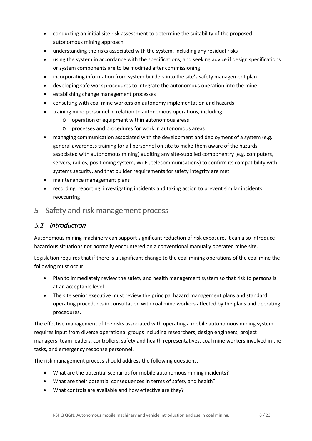- conducting an initial site risk assessment to determine the suitability of the proposed autonomous mining approach
- understanding the risks associated with the system, including any residual risks
- using the system in accordance with the specifications, and seeking advice if design specifications or system components are to be modified after commissioning
- incorporating information from system builders into the site's safety management plan
- developing safe work procedures to integrate the autonomous operation into the mine
- establishing change management processes
- consulting with coal mine workers on autonomy implementation and hazards
- training mine personnel in relation to autonomous operations, including
	- o operation of equipment within autonomous areas
	- o processes and procedures for work in autonomous areas
- managing communication associated with the development and deployment of a system (e.g. general awareness training for all personnel on site to make them aware of the hazards associated with autonomous mining) auditing any site-supplied componentry (e.g. computers, servers, radios, positioning system, Wi-Fi, telecommunications) to confirm its compatibility with systems security, and that builder requirements for safety integrity are met
- maintenance management plans
- recording, reporting, investigating incidents and taking action to prevent similar incidents reoccurring
- <span id="page-7-0"></span>5 Safety and risk management process

## <span id="page-7-1"></span>5.1 Introduction

Autonomous mining machinery can support significant reduction of risk exposure. It can also introduce hazardous situations not normally encountered on a conventional manually operated mine site.

Legislation requires that if there is a significant change to the coal mining operations of the coal mine the following must occur:

- Plan to immediately review the safety and health management system so that risk to persons is at an acceptable level
- The site senior executive must review the principal hazard management plans and standard operating procedures in consultation with coal mine workers affected by the plans and operating procedures.

The effective management of the risks associated with operating a mobile autonomous mining system requires input from diverse operational groups including researchers, design engineers, project managers, team leaders, controllers, safety and health representatives, coal mine workers involved in the tasks, and emergency response personnel.

The risk management process should address the following questions.

- What are the potential scenarios for mobile autonomous mining incidents?
- What are their potential consequences in terms of safety and health?
- What controls are available and how effective are they?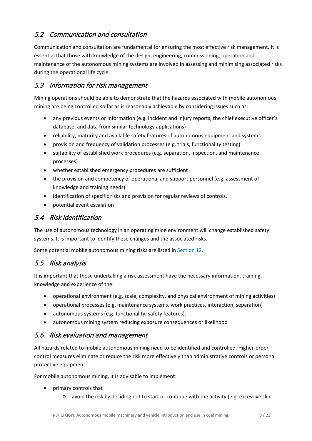## <span id="page-8-0"></span>5.2 Communication and consultation

Communication and consultation are fundamental for ensuring the most effective risk management. It is essential that those with knowledge of the design, engineering, commissioning, operation and maintenance of the autonomous mining systems are involved in assessing and minimising associated risks during the operational life cycle.

#### <span id="page-8-1"></span>5.3 Information for risk management

Mining operations should be able to demonstrate that the hazards associated with mobile autonomous mining are being controlled so far as is reasonably achievable by considering issues such as:

- any previous events or information (e.g. incident and injury reports, the chief executive officer's database, and data from similar technology applications)
- reliability, maturity and available safety features of autonomous equipment and systems
- provision and frequency of validation processes (e.g. trials, functionality testing)
- suitability of established work procedures (e.g. separation, inspection, and maintenance processes)
- whether established emergency procedures are sufficient
- the provision and competency of operational and support personnel (e.g. assessment of knowledge and training needs)
- identification of specific risks and provision for regular reviews of controls.
- potential event escalation

#### <span id="page-8-2"></span>5.4 Risk identification

The use of autonomous technology in an operating mine environment will change established safety systems. It is important to identify these changes and the associated risks.

Some potential mobile autonomous mining risks are listed in [Section 12.](#page-18-0)

## <span id="page-8-3"></span>5.5 Risk analysis

It is important that those undertaking a risk assessment have the necessary information, training, knowledge and experience of the:

- operational environment (e.g. scale, complexity, and physical environment of mining activities)
- operational processes (e.g. maintenance systems, work practices, interaction, separation)
- autonomous systems (e.g. functionality, safety features).
- autonomous mining system reducing exposure consequences or likelihood

## <span id="page-8-4"></span>5.6 Risk evaluation and management

All hazards related to mobile autonomous mining need to be identified and controlled. Higher-order control measures eliminate or reduce the risk more effectively than administrative controls or personal protective equipment.

For mobile autonomous mining, it is advisable to implement:

- primary controls that
	- o avoid the risk by deciding not to start or continue with the activity (e.g. excessive slip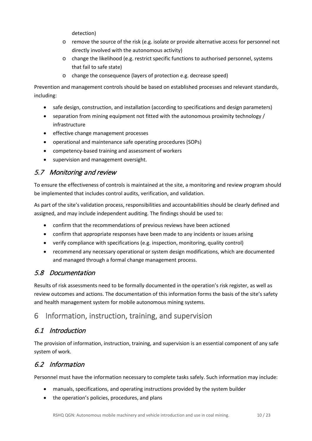detection)

- o remove the source of the risk (e.g. isolate or provide alternative access for personnel not directly involved with the autonomous activity)
- o change the likelihood (e.g. restrict specific functions to authorised personnel, systems that fail to safe state)
- o change the consequence (layers of protection e.g. decrease speed)

Prevention and management controls should be based on established processes and relevant standards, including:

- safe design, construction, and installation (according to specifications and design parameters)
- separation from mining equipment not fitted with the autonomous proximity technology / infrastructure
- effective change management processes
- operational and maintenance safe operating procedures (SOPs)
- competency-based training and assessment of workers
- supervision and management oversight.

## <span id="page-9-0"></span>5.7 Monitoring and review

To ensure the effectiveness of controls is maintained at the site, a monitoring and review program should be implemented that includes control audits, verification, and validation.

As part of the site's validation process, responsibilities and accountabilities should be clearly defined and assigned, and may include independent auditing. The findings should be used to:

- confirm that the recommendations of previous reviews have been actioned
- confirm that appropriate responses have been made to any incidents or issues arising
- verify compliance with specifications (e.g. inspection, monitoring, quality control)
- recommend any necessary operational or system design modifications, which are documented and managed through a formal change management process.

## <span id="page-9-1"></span>5.8 Documentation

Results of risk assessments need to be formally documented in the operation's risk register, as well as review outcomes and actions. The documentation of this information forms the basis of the site's safety and health management system for mobile autonomous mining systems.

# <span id="page-9-2"></span>6 Information, instruction, training, and supervision

## <span id="page-9-3"></span>6.1 Introduction

The provision of information, instruction, training, and supervision is an essential component of any safe system of work.

## <span id="page-9-4"></span>6.2 Information

Personnel must have the information necessary to complete tasks safely. Such information may include:

- manuals, specifications, and operating instructions provided by the system builder
- the operation's policies, procedures, and plans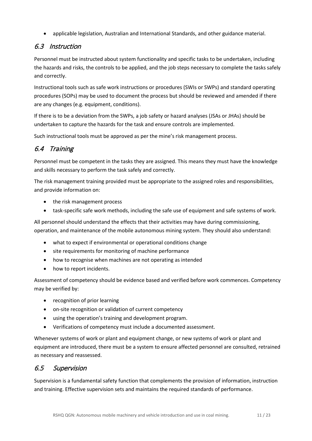• applicable legislation, Australian and International Standards, and other guidance material.

## <span id="page-10-0"></span>6.3 Instruction

Personnel must be instructed about system functionality and specific tasks to be undertaken, including the hazards and risks, the controls to be applied, and the job steps necessary to complete the tasks safely and correctly.

Instructional tools such as safe work instructions or procedures (SWIs or SWPs) and standard operating procedures (SOPs) may be used to document the process but should be reviewed and amended if there are any changes (e.g. equipment, conditions).

If there is to be a deviation from the SWPs, a job safety or hazard analyses (JSAs or JHAs) should be undertaken to capture the hazards for the task and ensure controls are implemented.

Such instructional tools must be approved as per the mine's risk management process.

# <span id="page-10-1"></span>6.4 Training

Personnel must be competent in the tasks they are assigned. This means they must have the knowledge and skills necessary to perform the task safely and correctly.

The risk management training provided must be appropriate to the assigned roles and responsibilities, and provide information on:

- the risk management process
- task-specific safe work methods, including the safe use of equipment and safe systems of work.

All personnel should understand the effects that their activities may have during commissioning, operation, and maintenance of the mobile autonomous mining system. They should also understand:

- what to expect if environmental or operational conditions change
- site requirements for monitoring of machine performance
- how to recognise when machines are not operating as intended
- how to report incidents.

Assessment of competency should be evidence based and verified before work commences. Competency may be verified by:

- recognition of prior learning
- on-site recognition or validation of current competency
- using the operation's training and development program.
- Verifications of competency must include a documented assessment.

Whenever systems of work or plant and equipment change, or new systems of work or plant and equipment are introduced, there must be a system to ensure affected personnel are consulted, retrained as necessary and reassessed.

#### <span id="page-10-2"></span>6.5 Supervision

Supervision is a fundamental safety function that complements the provision of information, instruction and training. Effective supervision sets and maintains the required standards of performance.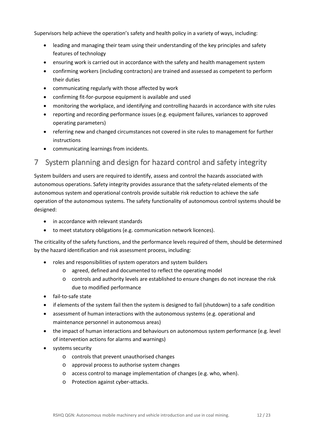Supervisors help achieve the operation's safety and health policy in a variety of ways, including:

- leading and managing their team using their understanding of the key principles and safety features of technology
- ensuring work is carried out in accordance with the safety and health management system
- confirming workers (including contractors) are trained and assessed as competent to perform their duties
- communicating regularly with those affected by work
- confirming fit-for-purpose equipment is available and used
- monitoring the workplace, and identifying and controlling hazards in accordance with site rules
- reporting and recording performance issues (e.g. equipment failures, variances to approved operating parameters)
- referring new and changed circumstances not covered in site rules to management for further instructions
- communicating learnings from incidents.

# <span id="page-11-0"></span>7 System planning and design for hazard control and safety integrity

System builders and users are required to identify, assess and control the hazards associated with autonomous operations. Safety integrity provides assurance that the safety-related elements of the autonomous system and operational controls provide suitable risk reduction to achieve the safe operation of the autonomous systems. The safety functionality of autonomous control systems should be designed:

- in accordance with relevant standards
- to meet statutory obligations (e.g. communication network licences).

The criticality of the safety functions, and the performance levels required of them, should be determined by the hazard identification and risk assessment process, including:

- roles and responsibilities of system operators and system builders
	- o agreed, defined and documented to reflect the operating model
	- o controls and authority levels are established to ensure changes do not increase the risk due to modified performance
- fail-to-safe state
- if elements of the system fail then the system is designed to fail (shutdown) to a safe condition
- assessment of human interactions with the autonomous systems (e.g. operational and maintenance personnel in autonomous areas)
- the impact of human interactions and behaviours on autonomous system performance (e.g. level of intervention actions for alarms and warnings)
- systems security
	- o controls that prevent unauthorised changes
	- o approval process to authorise system changes
	- o access control to manage implementation of changes (e.g. who, when).
	- o Protection against cyber-attacks.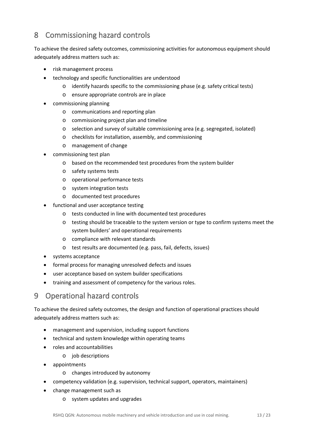# <span id="page-12-0"></span>8 Commissioning hazard controls

To achieve the desired safety outcomes, commissioning activities for autonomous equipment should adequately address matters such as:

- risk management process
- technology and specific functionalities are understood
	- $\circ$  identify hazards specific to the commissioning phase (e.g. safety critical tests)
	- o ensure appropriate controls are in place
- commissioning planning
	- o communications and reporting plan
	- o commissioning project plan and timeline
	- o selection and survey of suitable commissioning area (e.g. segregated, isolated)
	- o checklists for installation, assembly, and commissioning
	- o management of change
- commissioning test plan
	- o based on the recommended test procedures from the system builder
	- o safety systems tests
	- o operational performance tests
	- o system integration tests
	- o documented test procedures
- functional and user acceptance testing
	- o tests conducted in line with documented test procedures
	- o testing should be traceable to the system version or type to confirm systems meet the system builders' and operational requirements
	- o compliance with relevant standards
	- o test results are documented (e.g. pass, fail, defects, issues)
- systems acceptance
- formal process for managing unresolved defects and issues
- user acceptance based on system builder specifications
- training and assessment of competency for the various roles.

# <span id="page-12-1"></span>9 Operational hazard controls

To achieve the desired safety outcomes, the design and function of operational practices should adequately address matters such as:

- management and supervision, including support functions
- technical and system knowledge within operating teams
- roles and accountabilities
	- o job descriptions
- appointments
	- o changes introduced by autonomy
- competency validation (e.g. supervision, technical support, operators, maintainers)
- change management such as
	- o system updates and upgrades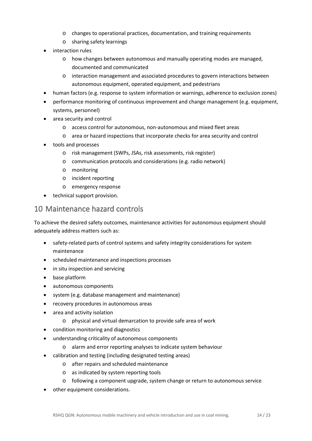- o changes to operational practices, documentation, and training requirements
- o sharing safety learnings
- interaction rules
	- o how changes between autonomous and manually operating modes are managed, documented and communicated
	- o interaction management and associated procedures to govern interactions between autonomous equipment, operated equipment, and pedestrians
- human factors (e.g. response to system information or warnings, adherence to exclusion zones)
- performance monitoring of continuous improvement and change management (e.g. equipment, systems, personnel)
- area security and control
	- o access control for autonomous, non-autonomous and mixed fleet areas
	- o area or hazard inspections that incorporate checks for area security and control
- tools and processes
	- o risk management (SWPs, JSAs, risk assessments, risk register)
	- o communication protocols and considerations (e.g. radio network)
	- o monitoring
	- o incident reporting
	- o emergency response
- technical support provision.

## <span id="page-13-0"></span>10 Maintenance hazard controls

To achieve the desired safety outcomes, maintenance activities for autonomous equipment should adequately address matters such as:

- safety-related parts of control systems and safety integrity considerations for system maintenance
- scheduled maintenance and inspections processes
- in situ inspection and servicing
- base platform
- autonomous components
- system (e.g. database management and maintenance)
- recovery procedures in autonomous areas
- area and activity isolation
	- o physical and virtual demarcation to provide safe area of work
- condition monitoring and diagnostics
- understanding criticality of autonomous components
	- o alarm and error reporting analyses to indicate system behaviour
- calibration and testing (including designated testing areas)
	- o after repairs and scheduled maintenance
	- o as indicated by system reporting tools
	- o following a component upgrade, system change or return to autonomous service
- other equipment considerations.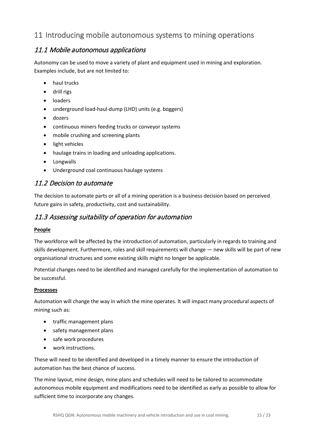# <span id="page-14-0"></span>11 Introducing mobile autonomous systems to mining operations

#### <span id="page-14-1"></span>11.1 Mobile autonomous applications

Autonomy can be used to move a variety of plant and equipment used in mining and exploration. Examples include, but are not limited to:

- haul trucks
- drill rigs
- **loaders**
- underground load-haul-dump (LHD) units (e.g. boggers)
- dozers
- continuous miners feeding trucks or conveyor systems
- mobile crushing and screening plants
- light vehicles
- haulage trains in loading and unloading applications.
- Longwalls
- Underground coal continuous haulage systems

#### <span id="page-14-2"></span>11.2 Decision to automate

The decision to automate parts or all of a mining operation is a business decision based on perceived future gains in safety, productivity, cost and sustainability.

#### <span id="page-14-3"></span>11.3 Assessing suitability of operation for automation

#### **People**

The workforce will be affected by the introduction of automation, particularly in regards to training and skills development. Furthermore, roles and skill requirements will change — new skills will be part of new organisational structures and some existing skills might no longer be applicable.

Potential changes need to be identified and managed carefully for the implementation of automation to be successful.

#### **Processes**

Automation will change the way in which the mine operates. It will impact many procedural aspects of mining such as:

- traffic management plans
- safety management plans
- safe work procedures
- work instructions.

These will need to be identified and developed in a timely manner to ensure the introduction of automation has the best chance of success.

The mine layout, mine design, mine plans and schedules will need to be tailored to accommodate autonomous mobile equipment and modifications need to be identified as early as possible to allow for sufficient time to incorporate any changes.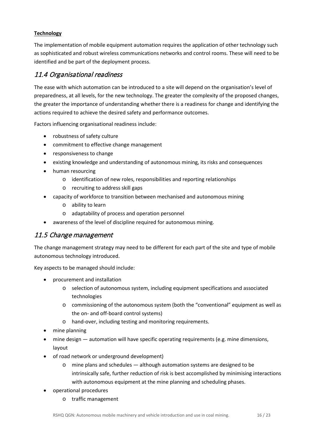#### **Technology**

The implementation of mobile equipment automation requires the application of other technology such as sophisticated and robust wireless communications networks and control rooms. These will need to be identified and be part of the deployment process.

#### <span id="page-15-0"></span>11.4 Organisational readiness

The ease with which automation can be introduced to a site will depend on the organisation's level of preparedness, at all levels, for the new technology. The greater the complexity of the proposed changes, the greater the importance of understanding whether there is a readiness for change and identifying the actions required to achieve the desired safety and performance outcomes.

Factors influencing organisational readiness include:

- robustness of safety culture
- commitment to effective change management
- responsiveness to change
- existing knowledge and understanding of autonomous mining, its risks and consequences
- human resourcing
	- o identification of new roles, responsibilities and reporting relationships
	- o recruiting to address skill gaps
- capacity of workforce to transition between mechanised and autonomous mining
	- o ability to learn
	- o adaptability of process and operation personnel
- awareness of the level of discipline required for autonomous mining.

#### <span id="page-15-1"></span>11.5 Change management

The change management strategy may need to be different for each part of the site and type of mobile autonomous technology introduced.

Key aspects to be managed should include:

- procurement and installation
	- o selection of autonomous system, including equipment specifications and associated technologies
	- o commissioning of the autonomous system (both the "conventional" equipment as well as the on- and off-board control systems)
	- o hand-over, including testing and monitoring requirements.
- mine planning
- mine design automation will have specific operating requirements (e.g. mine dimensions, layout
- of road network or underground development)
	- o mine plans and schedules although automation systems are designed to be intrinsically safe, further reduction of risk is best accomplished by minimising interactions with autonomous equipment at the mine planning and scheduling phases.
- operational procedures
	- o traffic management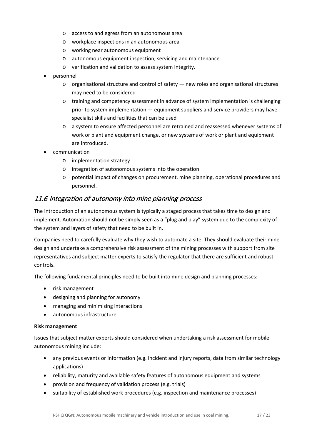- o access to and egress from an autonomous area
- o workplace inspections in an autonomous area
- o working near autonomous equipment
- o autonomous equipment inspection, servicing and maintenance
- o verification and validation to assess system integrity.
- personnel
	- $\circ$  organisational structure and control of safety  $-$  new roles and organisational structures may need to be considered
	- o training and competency assessment in advance of system implementation is challenging prior to system implementation — equipment suppliers and service providers may have specialist skills and facilities that can be used
	- o a system to ensure affected personnel are retrained and reassessed whenever systems of work or plant and equipment change, or new systems of work or plant and equipment are introduced.
- communication
	- o implementation strategy
	- o integration of autonomous systems into the operation
	- o potential impact of changes on procurement, mine planning, operational procedures and personnel.

#### <span id="page-16-0"></span>11.6 Integration of autonomy into mine planning process

The introduction of an autonomous system is typically a staged process that takes time to design and implement. Automation should not be simply seen as a "plug and play" system due to the complexity of the system and layers of safety that need to be built in.

Companies need to carefully evaluate why they wish to automate a site. They should evaluate their mine design and undertake a comprehensive risk assessment of the mining processes with support from site representatives and subject matter experts to satisfy the regulator that there are sufficient and robust controls.

The following fundamental principles need to be built into mine design and planning processes:

- risk management
- designing and planning for autonomy
- managing and minimising interactions
- autonomous infrastructure.

#### **Risk management**

Issues that subject matter experts should considered when undertaking a risk assessment for mobile autonomous mining include:

- any previous events or information (e.g. incident and injury reports, data from similar technology applications)
- reliability, maturity and available safety features of autonomous equipment and systems
- provision and frequency of validation process (e.g. trials)
- suitability of established work procedures (e.g. inspection and maintenance processes)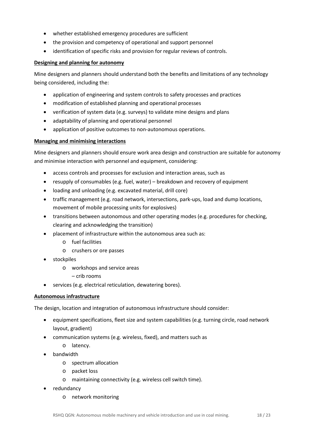- whether established emergency procedures are sufficient
- the provision and competency of operational and support personnel
- identification of specific risks and provision for regular reviews of controls.

#### **Designing and planning for autonomy**

Mine designers and planners should understand both the benefits and limitations of any technology being considered, including the:

- application of engineering and system controls to safety processes and practices
- modification of established planning and operational processes
- verification of system data (e.g. surveys) to validate mine designs and plans
- adaptability of planning and operational personnel
- application of positive outcomes to non-autonomous operations.

#### **Managing and minimising interactions**

Mine designers and planners should ensure work area design and construction are suitable for autonomy and minimise interaction with personnel and equipment, considering:

- access controls and processes for exclusion and interaction areas, such as
- resupply of consumables (e.g. fuel, water) breakdown and recovery of equipment
- loading and unloading (e.g. excavated material, drill core)
- traffic management (e.g. road network, intersections, park-ups, load and dump locations, movement of mobile processing units for explosives)
- transitions between autonomous and other operating modes (e.g. procedures for checking, clearing and acknowledging the transition)
- placement of infrastructure within the autonomous area such as:
	- o fuel facilities
	- o crushers or ore passes
- stockpiles
	- o workshops and service areas
		- crib rooms
- services (e.g. electrical reticulation, dewatering bores).

#### **Autonomous infrastructure**

The design, location and integration of autonomous infrastructure should consider:

- equipment specifications, fleet size and system capabilities (e.g. turning circle, road network layout, gradient)
- communication systems (e.g. wireless, fixed), and matters such as
	- o latency.
- bandwidth
	- o spectrum allocation
	- o packet loss
	- o maintaining connectivity (e.g. wireless cell switch time).
- redundancy
	- o network monitoring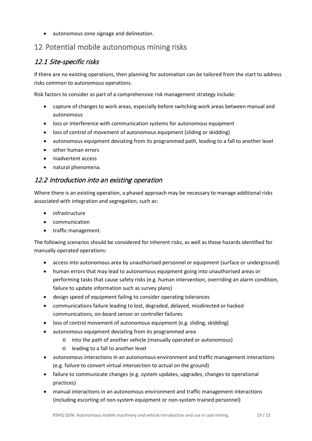• autonomous zone signage and delineation.

# <span id="page-18-0"></span>12 Potential mobile autonomous mining risks

#### <span id="page-18-1"></span>12.1 Site-specific risks

If there are no existing operations, then planning for automation can be tailored from the start to address risks common to autonomous operations.

Risk factors to consider as part of a comprehensive risk management strategy include:

- capture of changes to work areas, especially before switching work areas between manual and autonomous
- loss or interference with communication systems for autonomous equipment
- loss of control of movement of autonomous equipment (sliding or skidding)
- autonomous equipment deviating from its programmed path, leading to a fall to another level
- other human errors
- inadvertent access
- natural phenomena.

#### <span id="page-18-2"></span>12.2 Introduction into an existing operation

Where there is an existing operation, a phased approach may be necessary to manage additional risks associated with integration and segregation, such as:

- infrastructure
- communication
- traffic management.

The following scenarios should be considered for inherent risks, as well as those hazards identified for manually operated operations:

- access into autonomous area by unauthorised personnel or equipment (surface or underground)
- human errors that may lead to autonomous equipment going into unauthorised areas or performing tasks that cause safety risks (e.g. human intervention, overriding an alarm condition, failure to update information such as survey plans)
- design speed of equipment failing to consider operating tolerances
- communications failure leading to lost, degraded, delayed, misdirected or hacked communications, on-board sensor or controller failures
- loss of control movement of autonomous equipment (e.g. sliding, skidding)
- autonomous equipment deviating from its programmed area
	- o into the path of another vehicle (manually operated or autonomous)
	- o leading to a fall to another level
- autonomous interactions in an autonomous environment and traffic management interactions (e.g. failure to convert virtual intersection to actual on the ground)
- failure to communicate changes (e.g. system updates, upgrades, changes to operational practices)
- manual interactions in an autonomous environment and traffic management interactions (including escorting of non-system equipment or non-system trained personnel)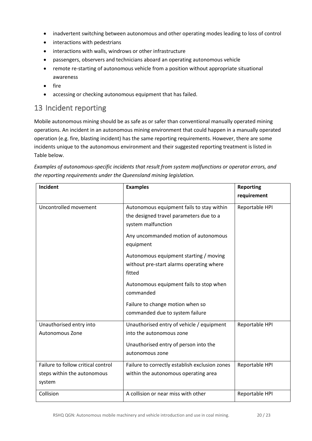- inadvertent switching between autonomous and other operating modes leading to loss of control
- interactions with pedestrians
- interactions with walls, windrows or other infrastructure
- passengers, observers and technicians aboard an operating autonomous vehicle
- remote re-starting of autonomous vehicle from a position without appropriate situational awareness
- fire
- accessing or checking autonomous equipment that has failed.

## <span id="page-19-0"></span>13 Incident reporting

Mobile autonomous mining should be as safe as or safer than conventional manually operated mining operations. An incident in an autonomous mining environment that could happen in a manually operated operation (e.g. fire, blasting incident) has the same reporting requirements. However, there are some incidents unique to the autonomous environment and their suggested reporting treatment is listed in Table below.

| Incident                                                                    | <b>Examples</b>                                                                                                                   | <b>Reporting</b> |
|-----------------------------------------------------------------------------|-----------------------------------------------------------------------------------------------------------------------------------|------------------|
|                                                                             |                                                                                                                                   | requirement      |
| Uncontrolled movement                                                       | Autonomous equipment fails to stay within<br>the designed travel parameters due to a<br>system malfunction                        | Reportable HPI   |
|                                                                             | Any uncommanded motion of autonomous<br>equipment                                                                                 |                  |
|                                                                             | Autonomous equipment starting / moving<br>without pre-start alarms operating where<br>fitted                                      |                  |
|                                                                             | Autonomous equipment fails to stop when<br>commanded                                                                              |                  |
|                                                                             | Failure to change motion when so<br>commanded due to system failure                                                               |                  |
| Unauthorised entry into<br><b>Autonomous Zone</b>                           | Unauthorised entry of vehicle / equipment<br>into the autonomous zone<br>Unauthorised entry of person into the<br>autonomous zone | Reportable HPI   |
| Failure to follow critical control<br>steps within the autonomous<br>system | Failure to correctly establish exclusion zones<br>within the autonomous operating area                                            | Reportable HPI   |
| Collision                                                                   | A collision or near miss with other                                                                                               | Reportable HPI   |

*Examples of autonomous-specific incidents that result from system malfunctions or operator errors, and the reporting requirements under the Queensland mining legislation.*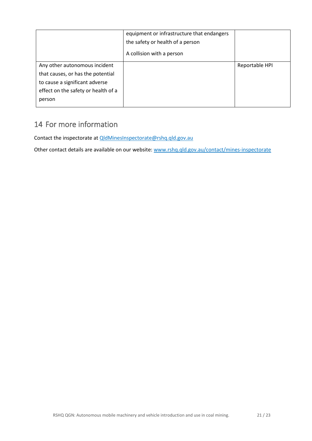|                                     | equipment or infrastructure that endangers<br>the safety or health of a person<br>A collision with a person |                |
|-------------------------------------|-------------------------------------------------------------------------------------------------------------|----------------|
| Any other autonomous incident       |                                                                                                             | Reportable HPI |
| that causes, or has the potential   |                                                                                                             |                |
| to cause a significant adverse      |                                                                                                             |                |
| effect on the safety or health of a |                                                                                                             |                |
| person                              |                                                                                                             |                |

# <span id="page-20-0"></span>14 For more information

Contact the inspectorate at [QldMinesInspectorate@rshq.qld.gov.au](mailto:QldMinesInspectorate@rshq.qld.gov.au)

Other contact details are available on our website: [www.rshq.qld.gov.au/contact/mines-inspectorate](https://www.rshq.qld.gov.au/contact/mines-inspectorate)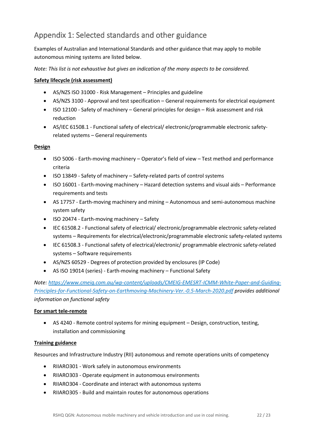# <span id="page-21-0"></span>Appendix 1: Selected standards and other guidance

Examples of Australian and International Standards and other guidance that may apply to mobile autonomous mining systems are listed below.

*Note: This list is not exhaustive but gives an indication of the many aspects to be considered.*

#### **Safety lifecycle (risk assessment)**

- AS/NZS ISO 31000 Risk Management Principles and guideline
- AS/NZS 3100 Approval and test specification General requirements for electrical equipment
- ISO 12100 Safety of machinery General principles for design Risk assessment and risk reduction
- AS/IEC 61508.1 Functional safety of electrical/ electronic/programmable electronic safetyrelated systems – General requirements

#### **Design**

- ISO 5006 Earth-moving machinery Operator's field of view Test method and performance criteria
- ISO 13849 Safety of machinery Safety-related parts of control systems
- ISO 16001 Earth-moving machinery Hazard detection systems and visual aids Performance requirements and tests
- AS 17757 Earth-moving machinery and mining Autonomous and semi-autonomous machine system safety
- ISO 20474 Earth-moving machinery Safety
- IEC 61508.2 Functional safety of electrical/ electronic/programmable electronic safety-related systems – Requirements for electrical/electronic/programmable electronic safety-related systems
- IEC 61508.3 Functional safety of electrical/electronic/ programmable electronic safety-related systems – Software requirements
- AS/NZS 60529 Degrees of protection provided by enclosures (IP Code)
- AS ISO 19014 (series) Earth-moving machinery Functional Safety

*Note: [https://www.cmeig.com.au/wp-content/uploads/CMEIG-EMESRT-ICMM-White-Paper-and-Guiding-](https://www.cmeig.com.au/wp-content/uploads/CMEIG-EMESRT-ICMM-White-Paper-and-Guiding-Principles-for-Functional-Safety-on-Earthmoving-Machinery-Ver.-0.5-March-2020.pdf)[Principles-for-Functional-Safety-on-Earthmoving-Machinery-Ver.-0.5-March-2020.pdf](https://www.cmeig.com.au/wp-content/uploads/CMEIG-EMESRT-ICMM-White-Paper-and-Guiding-Principles-for-Functional-Safety-on-Earthmoving-Machinery-Ver.-0.5-March-2020.pdf) provides additional information on functional safety*

#### **For smart tele-remote**

• AS 4240 - Remote control systems for mining equipment – Design, construction, testing, installation and commissioning

#### **Training guidance**

Resources and Infrastructure Industry (RII) autonomous and remote operations units of competency

- RIIARO301 Work safely in autonomous environments
- RIIARO303 Operate equipment in autonomous environments
- RIIARO304 Coordinate and interact with autonomous systems
- RIIARO305 Build and maintain routes for autonomous operations